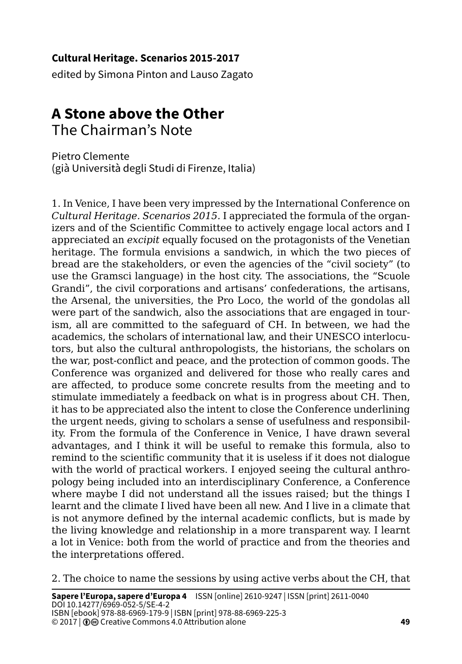## **Cultural Heritage. Scenarios 2015-2017**

edited by Simona Pinton and Lauso Zagato

## **A Stone above the Other**  The Chairman's Note

Pietro Clemente (già Università degli Studi di Firenze, Italia)

1. In Venice, I have been very impressed by the International Conference on *Cultural Heritage. Scenarios 2015.* I appreciated the formula of the organizers and of the Scientific Committee to actively engage local actors and I appreciated an *excipit* equally focused on the protagonists of the Venetian heritage. The formula envisions a sandwich, in which the two pieces of bread are the stakeholders, or even the agencies of the "civil society" (to use the Gramsci language) in the host city. The associations, the "Scuole Grandi", the civil corporations and artisans' confederations, the artisans, the Arsenal, the universities, the Pro Loco, the world of the gondolas all were part of the sandwich, also the associations that are engaged in tourism, all are committed to the safeguard of CH. In between, we had the academics, the scholars of international law, and their UNESCO interlocutors, but also the cultural anthropologists, the historians, the scholars on the war, post-conflict and peace, and the protection of common goods. The Conference was organized and delivered for those who really cares and are affected, to produce some concrete results from the meeting and to stimulate immediately a feedback on what is in progress about CH. Then, it has to be appreciated also the intent to close the Conference underlining the urgent needs, giving to scholars a sense of usefulness and responsibility. From the formula of the Conference in Venice, I have drawn several advantages, and I think it will be useful to remake this formula, also to remind to the scientific community that it is useless if it does not dialogue with the world of practical workers. I enjoyed seeing the cultural anthropology being included into an interdisciplinary Conference, a Conference where maybe I did not understand all the issues raised; but the things I learnt and the climate I lived have been all new. And I live in a climate that is not anymore defined by the internal academic conflicts, but is made by the living knowledge and relationship in a more transparent way. I learnt a lot in Venice: both from the world of practice and from the theories and the interpretations offered.

2. The choice to name the sessions by using active verbs about the CH, that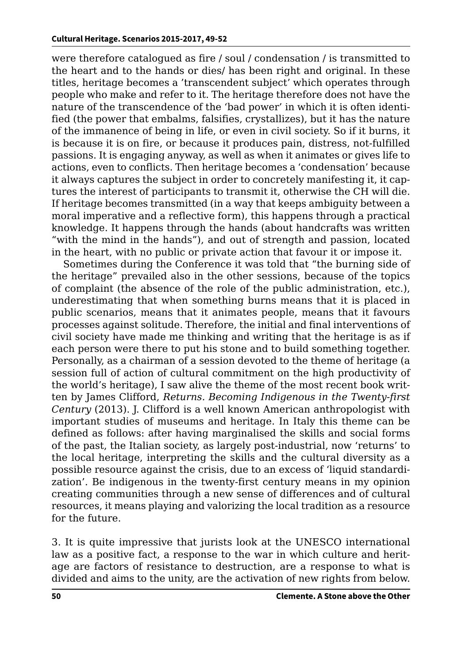were therefore catalogued as fire / soul / condensation / is transmitted to the heart and to the hands or dies/ has been right and original. In these titles, heritage becomes a 'transcendent subject' which operates through people who make and refer to it. The heritage therefore does not have the nature of the transcendence of the 'bad power' in which it is often identified (the power that embalms, falsifies, crystallizes), but it has the nature of the immanence of being in life, or even in civil society. So if it burns, it is because it is on fire, or because it produces pain, distress, not-fulfilled passions. It is engaging anyway, as well as when it animates or gives life to actions, even to conflicts. Then heritage becomes a 'condensation' because it always captures the subject in order to concretely manifesting it, it captures the interest of participants to transmit it, otherwise the CH will die. If heritage becomes transmitted (in a way that keeps ambiguity between a moral imperative and a reflective form), this happens through a practical knowledge. It happens through the hands (about handcrafts was written "with the mind in the hands"), and out of strength and passion, located in the heart, with no public or private action that favour it or impose it.

Sometimes during the Conference it was told that "the burning side of the heritage" prevailed also in the other sessions, because of the topics of complaint (the absence of the role of the public administration, etc.), underestimating that when something burns means that it is placed in public scenarios, means that it animates people, means that it favours processes against solitude. Therefore, the initial and final interventions of civil society have made me thinking and writing that the heritage is as if each person were there to put his stone and to build something together. Personally, as a chairman of a session devoted to the theme of heritage (a session full of action of cultural commitment on the high productivity of the world's heritage), I saw alive the theme of the most recent book written by James Clifford, *Returns. Becoming Indigenous in the Twenty-first Century* (2013). J. Clifford is a well known American anthropologist with important studies of museums and heritage. In Italy this theme can be defined as follows: after having marginalised the skills and social forms of the past, the Italian society, as largely post-industrial, now 'returns' to the local heritage, interpreting the skills and the cultural diversity as a possible resource against the crisis, due to an excess of 'liquid standardization'. Be indigenous in the twenty-first century means in my opinion creating communities through a new sense of differences and of cultural resources, it means playing and valorizing the local tradition as a resource for the future.

3. It is quite impressive that jurists look at the UNESCO international law as a positive fact, a response to the war in which culture and heritage are factors of resistance to destruction, are a response to what is divided and aims to the unity, are the activation of new rights from below.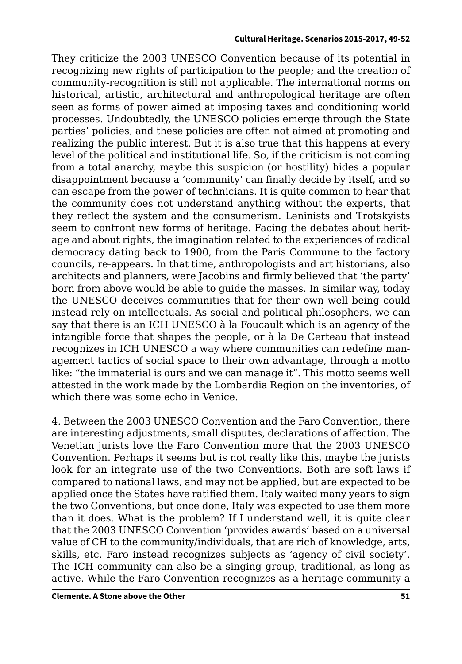They criticize the 2003 UNESCO Convention because of its potential in recognizing new rights of participation to the people; and the creation of community-recognition is still not applicable. The international norms on historical, artistic, architectural and anthropological heritage are often seen as forms of power aimed at imposing taxes and conditioning world processes. Undoubtedly, the UNESCO policies emerge through the State parties' policies, and these policies are often not aimed at promoting and realizing the public interest. But it is also true that this happens at every level of the political and institutional life. So, if the criticism is not coming from a total anarchy, maybe this suspicion (or hostility) hides a popular disappointment because a 'community' can finally decide by itself, and so can escape from the power of technicians. It is quite common to hear that the community does not understand anything without the experts, that they reflect the system and the consumerism. Leninists and Trotskyists seem to confront new forms of heritage. Facing the debates about heritage and about rights, the imagination related to the experiences of radical democracy dating back to 1900, from the Paris Commune to the factory councils, re-appears. In that time, anthropologists and art historians, also architects and planners, were Jacobins and firmly believed that 'the party' born from above would be able to guide the masses. In similar way, today the UNESCO deceives communities that for their own well being could instead rely on intellectuals. As social and political philosophers, we can say that there is an ICH UNESCO à la Foucault which is an agency of the intangible force that shapes the people, or à la De Certeau that instead recognizes in ICH UNESCO a way where communities can redefine management tactics of social space to their own advantage, through a motto like: "the immaterial is ours and we can manage it". This motto seems well attested in the work made by the Lombardia Region on the inventories, of which there was some echo in Venice.

4. Between the 2003 UNESCO Convention and the Faro Convention, there are interesting adjustments, small disputes, declarations of affection. The Venetian jurists love the Faro Convention more that the 2003 UNESCO Convention. Perhaps it seems but is not really like this, maybe the jurists look for an integrate use of the two Conventions. Both are soft laws if compared to national laws, and may not be applied, but are expected to be applied once the States have ratified them. Italy waited many years to sign the two Conventions, but once done, Italy was expected to use them more than it does. What is the problem? If I understand well, it is quite clear that the 2003 UNESCO Convention 'provides awards' based on a universal value of CH to the community/individuals, that are rich of knowledge, arts, skills, etc. Faro instead recognizes subjects as 'agency of civil society'. The ICH community can also be a singing group, traditional, as long as active. While the Faro Convention recognizes as a heritage community a